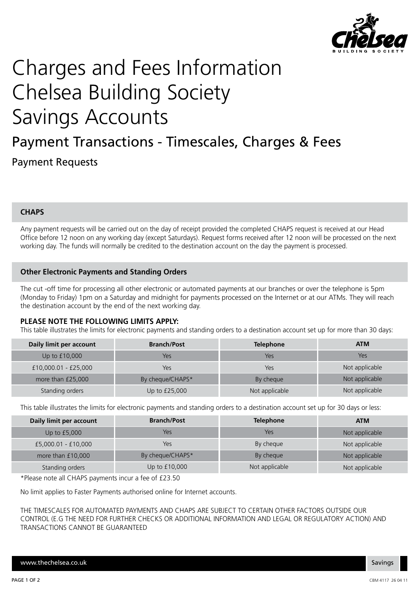

# Charges and Fees Information Chelsea Building Society Savings Accounts

# Payment Transactions - Timescales, Charges & Fees Payment Requests

# **CHAPS**

Any payment requests will be carried out on the day of receipt provided the completed CHAPS request is received at our Head Office before 12 noon on any working day (except Saturdays). Request forms received after 12 noon will be processed on the next working day. The funds will normally be credited to the destination account on the day the payment is processed.

### **Other Electronic Payments and Standing Orders**

The cut -off time for processing all other electronic or automated payments at our branches or over the telephone is 5pm (Monday to Friday) 1pm on a Saturday and midnight for payments processed on the Internet or at our ATMs. They will reach the destination account by the end of the next working day.

#### **PLEASE NOTE THE FOLLOWING LIMITS APPLY:**

This table illustrates the limits for electronic payments and standing orders to a destination account set up for more than 30 days:

| Daily limit per account | <b>Branch/Post</b> | <b>Telephone</b> | <b>ATM</b>     |
|-------------------------|--------------------|------------------|----------------|
| Up to £10,000           | Yes                | Yes              | Yes            |
| £10,000.01 - £25,000    | Yes                | Yes              | Not applicable |
| more than £25,000       | By cheque/CHAPS*   | By cheque        | Not applicable |
| Standing orders         | Up to £25,000      | Not applicable   | Not applicable |

This table illustrates the limits for electronic payments and standing orders to a destination account set up for 30 days or less:

| Daily limit per account | <b>Branch/Post</b> | <b>Telephone</b> | <b>ATM</b>     |
|-------------------------|--------------------|------------------|----------------|
| Up to $£5,000$          | Yes                | Yes              | Not applicable |
| £5,000.01 - £10,000     | Yes                | By cheque        | Not applicable |
| more than £10,000       | By cheque/CHAPS*   | By cheque        | Not applicable |
| Standing orders         | Up to £10,000      | Not applicable   | Not applicable |

\*Please note all CHAPS payments incur a fee of £23.50

No limit applies to Faster Payments authorised online for Internet accounts.

THE TIMESCALES FOR AUTOMATED PAYMENTS AND CHAPS ARE SUBJECT TO CERTAIN OTHER FACTORS OUTSIDE OUR CONTROL (E.G THE NEED FOR FURTHER CHECKS OR ADDITIONAL INFORMATION AND LEGAL OR REGULATORY ACTION) AND TRANSACTIONS CANNOT BE GUARANTEED